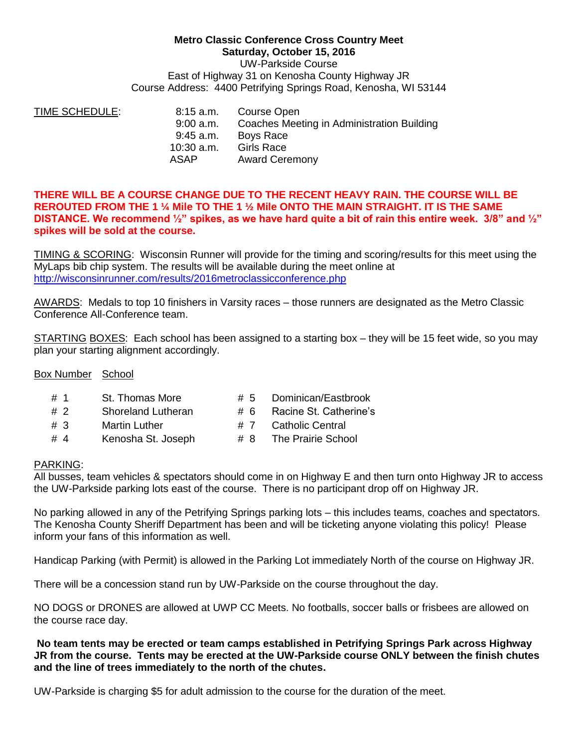## **Metro Classic Conference Cross Country Meet Saturday, October 15, 2016** UW-Parkside Course East of Highway 31 on Kenosha County Highway JR Course Address: 4400 Petrifying Springs Road, Kenosha, WI 53144

| 8:15 a.m.    | Course Open                                |
|--------------|--------------------------------------------|
| $9:00$ a.m.  | Coaches Meeting in Administration Building |
| 9:45 a.m.    | Boys Race                                  |
| $10:30$ a.m. | <b>Girls Race</b>                          |
| ASAP         | <b>Award Ceremony</b>                      |
|              |                                            |

## **THERE WILL BE A COURSE CHANGE DUE TO THE RECENT HEAVY RAIN. THE COURSE WILL BE REROUTED FROM THE 1 ¼ Mile TO THE 1 ½ Mile ONTO THE MAIN STRAIGHT. IT IS THE SAME DISTANCE. We recommend ½" spikes, as we have hard quite a bit of rain this entire week. 3/8" and ½" spikes will be sold at the course.**

TIMING & SCORING: Wisconsin Runner will provide for the timing and scoring/results for this meet using the MyLaps bib chip system. The results will be available during the meet online at <http://wisconsinrunner.com/results/2016metroclassicconference.php>

AWARDS: Medals to top 10 finishers in Varsity races – those runners are designated as the Metro Classic Conference All-Conference team.

STARTING BOXES: Each school has been assigned to a starting box – they will be 15 feet wide, so you may plan your starting alignment accordingly.

## Box Number School

- # 1 St. Thomas More # 5 Dominican/Eastbrook
- # 2 Shoreland Lutheran # 6 Racine St. Catherine's
- # 3 Martin Luther # 7 Catholic Central
- # 4 Kenosha St. Joseph # 8 The Prairie School
- 
- 
- -

## PARKING:

All busses, team vehicles & spectators should come in on Highway E and then turn onto Highway JR to access the UW-Parkside parking lots east of the course. There is no participant drop off on Highway JR.

No parking allowed in any of the Petrifying Springs parking lots – this includes teams, coaches and spectators. The Kenosha County Sheriff Department has been and will be ticketing anyone violating this policy! Please inform your fans of this information as well.

Handicap Parking (with Permit) is allowed in the Parking Lot immediately North of the course on Highway JR.

There will be a concession stand run by UW-Parkside on the course throughout the day.

NO DOGS or DRONES are allowed at UWP CC Meets. No footballs, soccer balls or frisbees are allowed on the course race day.

**No team tents may be erected or team camps established in Petrifying Springs Park across Highway JR from the course. Tents may be erected at the UW-Parkside course ONLY between the finish chutes and the line of trees immediately to the north of the chutes.**

UW-Parkside is charging \$5 for adult admission to the course for the duration of the meet.